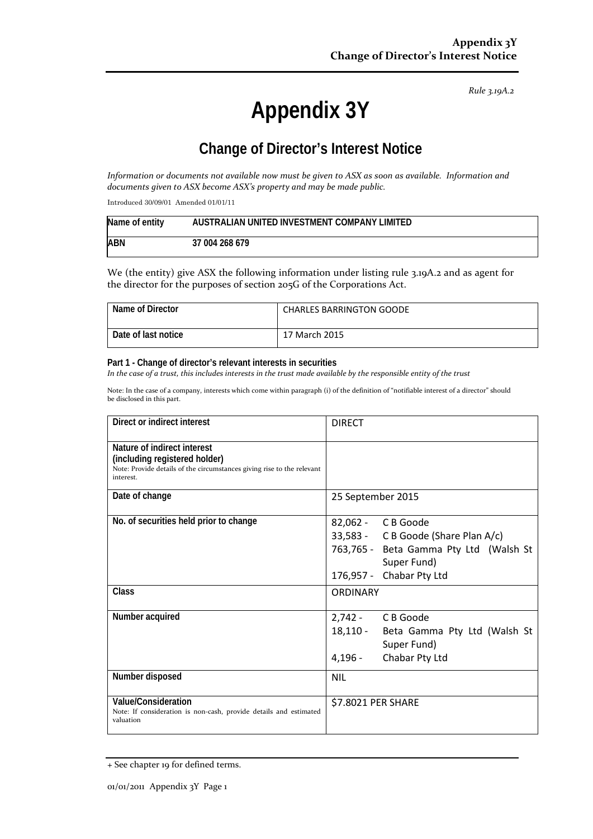*Rule 3.19A.2*

# **Appendix 3Y**

# **Change of Director's Interest Notice**

*Information or documents not available now must be given to ASX as soon as available. Information and documents given to ASX become ASX's property and may be made public.*

Introduced 30/09/01 Amended 01/01/11

| Name of entity | AUSTRALIAN UNITED INVESTMENT COMPANY LIMITED |
|----------------|----------------------------------------------|
| <b>ABN</b>     | 37 004 268 679                               |

We (the entity) give ASX the following information under listing rule 3.19A.2 and as agent for the director for the purposes of section 205G of the Corporations Act.

| Name of Director    | <b>CHARLES BARRINGTON GOODE</b> |
|---------------------|---------------------------------|
| Date of last notice | 17 March 2015                   |

#### **Part 1 - Change of director's relevant interests in securities**

*In the case of a trust, this includes interests in the trust made available by the responsible entity of the trust*

Note: In the case of a company, interests which come within paragraph (i) of the definition of "notifiable interest of a director" should be disclosed in this part.

| Direct or indirect interest                                                                                                                         | <b>DIRECT</b>                                                                                                                                     |
|-----------------------------------------------------------------------------------------------------------------------------------------------------|---------------------------------------------------------------------------------------------------------------------------------------------------|
| Nature of indirect interest<br>(including registered holder)<br>Note: Provide details of the circumstances giving rise to the relevant<br>interest. |                                                                                                                                                   |
| Date of change                                                                                                                                      | 25 September 2015                                                                                                                                 |
| No. of securities held prior to change                                                                                                              | 82,062 - C B Goode<br>33,583 - C B Goode (Share Plan A/c)<br>763,765 - Beta Gamma Pty Ltd (Walsh St<br>Super Fund)<br>Chabar Pty Ltd<br>176,957 - |
| Class                                                                                                                                               | <b>ORDINARY</b>                                                                                                                                   |
| Number acquired                                                                                                                                     | 2,742 - CB Goode<br>18,110 -<br>Beta Gamma Pty Ltd (Walsh St<br>Super Fund)<br>Chabar Pty Ltd<br>4,196 -                                          |
| Number disposed                                                                                                                                     | <b>NIL</b>                                                                                                                                        |
| Value/Consideration<br>Note: If consideration is non-cash, provide details and estimated<br>valuation                                               | \$7.8021 PER SHARE                                                                                                                                |

<sup>+</sup> See chapter 19 for defined terms.